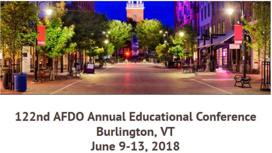

## **122nd AFDO Annual Educational Conference Burlington, VT** June 9-13, 2018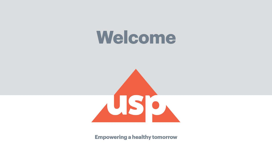## Welcome



**Empowering a healthy tomorrow**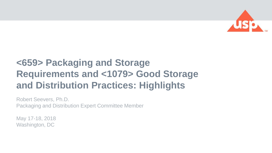

#### **<659> Packaging and Storage Requirements and <1079> Good Storage and Distribution Practices: Highlights**

Robert Seevers, Ph.D. Packaging and Distribution Expert Committee Member

May 17-18, 2018 Washington, DC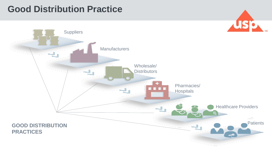#### **Good Distribution Practice**



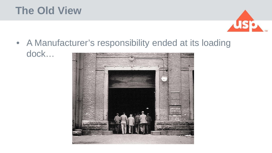### **The Old View**



• A Manufacturer's responsibility ended at its loading dock…

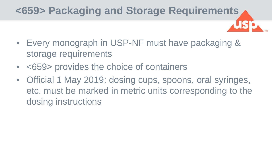## **<659> Packaging and Storage Requirements**

- Every monograph in USP-NF must have packaging & storage requirements
- <659> provides the choice of containers
- Official 1 May 2019: dosing cups, spoons, oral syringes, etc. must be marked in metric units corresponding to the dosing instructions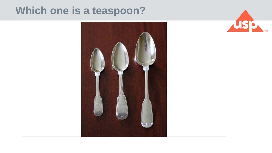#### **Which one is a teaspoon?**



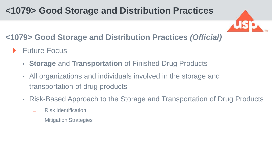#### **<1079> Good Storage and Distribution Practices**



#### **<1079> Good Storage and Distribution Practices** *(Official)*

- **Future Focus** 
	- **Storage** and **Transportation** of Finished Drug Products
	- All organizations and individuals involved in the storage and transportation of drug products
	- Risk-Based Approach to the Storage and Transportation of Drug Products
		- ̶ Risk Identification
		- **Mitigation Strategies**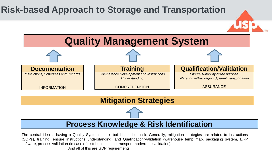#### **Risk-based Approach to Storage and Transportation**



#### **Mitigation Strategies**

#### **Process Knowledge & Risk Identification**

The central idea is having a Quality System that is build based on risk. Generally, mitigation strategies are related to instructions (SOPs), training (ensure instructions understanding) and Qualification/Validation (warehouse temp map, packaging system, ERP software, process validation (in case of distribution, is the transport mode/route validation).

And all of this are GDP requirements!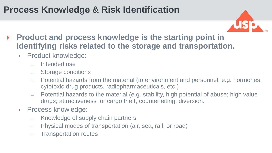#### **Process Knowledge & Risk Identification**



- **Product and process knowledge is the starting point in identifying risks related to the storage and transportation.**
	- Product knowledge:
		- Intended use
		- ̶ Storage conditions
		- ̶ Potential hazards from the material (to environment and personnel: e.g. hormones, cytotoxic drug products, radiopharmaceuticals, etc.)
		- ̶ Potential hazards to the material (e.g. stability, high potential of abuse; high value drugs; attractiveness for cargo theft, counterfeiting, diversion.
	- Process knowledge:
		- ̶ Knowledge of supply chain partners
		- ̶ Physical modes of transportation (air, sea, rail, or road)
		- ̶ Transportation routes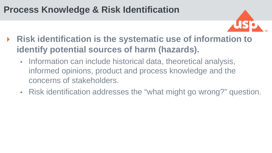#### **Process Knowledge & Risk Identification**



- **Risk identification is the systematic use of information to identify potential sources of harm (hazards).** 
	- Information can include historical data, theoretical analysis, informed opinions, product and process knowledge and the concerns of stakeholders.
	- Risk identification addresses the "what might go wrong?" question.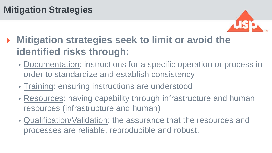#### **Mitigation Strategies**



### **Mitigation strategies seek to limit or avoid the identified risks through:**

- Documentation: instructions for a specific operation or process in order to standardize and establish consistency
- Training: ensuring instructions are understood
- Resources: having capability through infrastructure and human resources (infrastructure and human)
- Qualification/Validation: the assurance that the resources and processes are reliable, reproducible and robust.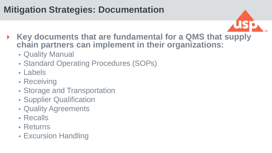#### **Mitigation Strategies: Documentation**



- **Key documents that are fundamental for a QMS that supply chain partners can implement in their organizations:**
	- Quality Manual
	- Standard Operating Procedures (SOPs)
	- Labels
	- Receiving
	- Storage and Transportation
	- Supplier Qualification
	- Quality Agreements
	- Recalls
	- Returns
	- Excursion Handling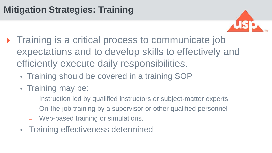#### **Mitigation Strategies: Training**



- Training is a critical process to communicate job expectations and to develop skills to effectively and efficiently execute daily responsibilities.
	- Training should be covered in a training SOP
	- Training may be:
		- Instruction led by qualified instructors or subject-matter experts
		- ̶ On-the-job training by a supervisor or other qualified personnel
		- Web-based training or simulations.
	- Training effectiveness determined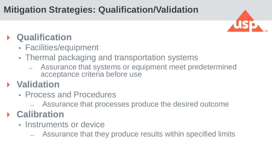#### **Mitigation Strategies: Qualification/Validation**



#### **Qualification**

- Facilities/equipment
- Thermal packaging and transportation systems
	- Assurance that systems or equipment meet predetermined acceptance criteria before use

#### **Validation**

- Process and Procedures
	- ̶ Assurance that processes produce the desired outcome

#### **Calibration**

- Instruments or device
	- ̶ Assurance that they produce results within specified limits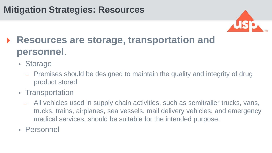#### **Mitigation Strategies: Resources**



## **Resources are storage, transportation and personnel**.

- Storage
	- ̶ Premises should be designed to maintain the quality and integrity of drug product stored
- Transportation
	- ̶ All vehicles used in supply chain activities, such as semitrailer trucks, vans, trucks, trains, airplanes, sea vessels, mail delivery vehicles, and emergency medical services, should be suitable for the intended purpose.
- Personnel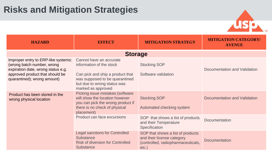#### **Risks and Mitigation Strategies**



| <b>HAZARD</b>                                                                                                                                                             | <b>EFFECT</b>                                                                                                                                                                  | <b>MITIGATION STRATEGY</b>                                                                                        | <b>MITIGATION CATEGORY/</b><br><b>AVENUE</b> |  |  |
|---------------------------------------------------------------------------------------------------------------------------------------------------------------------------|--------------------------------------------------------------------------------------------------------------------------------------------------------------------------------|-------------------------------------------------------------------------------------------------------------------|----------------------------------------------|--|--|
| <b>Storage</b>                                                                                                                                                            |                                                                                                                                                                                |                                                                                                                   |                                              |  |  |
| Improper entry to ERP-like systems:<br>(wrong batch number, wrong<br>expiration date, wrong status e.g.<br>approved product that should be<br>quarantined); wrong amount) | Cannot have an accurate<br>information of the stock<br>Can pick and ship a product that<br>was supposed to be quarantined<br>but due to wrong status was<br>marked as approved | <b>Stocking SOP</b><br>Software validation                                                                        | Documentation and Validation                 |  |  |
| Product has been stored in the<br>wrong physical location                                                                                                                 | Picking issue mistakes (software<br>will show the location however<br>you can pick the wrong product if<br>there is no check of physical<br>placement)                         | <b>Stocking SOP</b><br>Automated checking system                                                                  | Documentation and Validation                 |  |  |
|                                                                                                                                                                           | Product can face excursions                                                                                                                                                    | SOP that shows a list of products<br>and their Temperature<br>Specification                                       | <b>Documentation</b>                         |  |  |
|                                                                                                                                                                           | <b>Legal sanctions for Controlled</b><br><b>Substance</b><br><b>Risk of diversion for Controlled</b><br><b>Substance</b>                                                       | SOP that shows a list of products<br>and their license category<br>(controlled, radiopharmaceuticals,<br>$etc.$ ) | <b>Documentation</b>                         |  |  |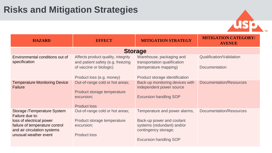#### **Risks and Mitigation Strategies**



| <b>HAZARD</b>                                                 | <b>EFFECT</b>                                                                                       | <b>MITIGATION STRATEGY</b>                                                                   | <b>MITIGATION CATEGORY/</b><br><b>AVENUE</b> |  |  |
|---------------------------------------------------------------|-----------------------------------------------------------------------------------------------------|----------------------------------------------------------------------------------------------|----------------------------------------------|--|--|
| <b>Storage</b>                                                |                                                                                                     |                                                                                              |                                              |  |  |
| Environmental conditions out of<br>specification              | Affects product quality, integrity<br>and patient safety (e.g. freezing                             | Warehouse, packaging and<br>transportation qualification                                     | Qualification/Validation                     |  |  |
|                                                               | of vaccine or biologic)                                                                             | (temperature mapping)                                                                        | Documentation                                |  |  |
|                                                               | Product loss (e.g. money)                                                                           | Product storage identification                                                               |                                              |  |  |
| <b>Temperature Monitoring Device</b><br><b>Failure</b>        | Out-of-range cold or hot areas;<br>Product storage temperature<br>excursion;<br><b>Product loss</b> | Back-up monitoring devices with<br>independent power source<br><b>Excursion handling SOP</b> | Documentation/Resources                      |  |  |
| Storage /Temperature System<br>Failure due to:                | Out-of-range cold or hot areas;                                                                     | Temperature and power alarms,                                                                | Documentation/Resources                      |  |  |
| loss of electrical power                                      | Product storage temperature                                                                         | Back-up power and coolant                                                                    |                                              |  |  |
| failure of temperature control<br>and air circulation systems | excursion;                                                                                          | systems (redundant) and/or<br>contingency storage;                                           |                                              |  |  |
| unusual weather event                                         | <b>Product loss</b>                                                                                 |                                                                                              |                                              |  |  |
|                                                               |                                                                                                     | <b>Excursion handling SOP</b>                                                                |                                              |  |  |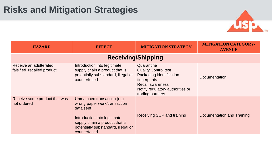#### **Risks and Mitigation Strategies**



| <b>HAZARD</b>                                          | <b>EFFECT</b>                                                                                                                                                                                       | <b>MITIGATION STRATEGY</b>                                                                                                                                               | <b>MITIGATION CATEGORY/</b><br><b>AVENUE</b> |  |  |  |
|--------------------------------------------------------|-----------------------------------------------------------------------------------------------------------------------------------------------------------------------------------------------------|--------------------------------------------------------------------------------------------------------------------------------------------------------------------------|----------------------------------------------|--|--|--|
| <b>Receiving/Shipping</b>                              |                                                                                                                                                                                                     |                                                                                                                                                                          |                                              |  |  |  |
| Receive an adulterated,<br>falsified, recalled product | Introduction into legitimate<br>supply chain a product that is<br>potentially substandard, illegal or<br>counterfeited                                                                              | Quarantine<br><b>Quality Control test</b><br>Packaging identification<br>fingerprints<br><b>Recall awareness</b><br>Notify regulatory authorities or<br>trading partners | Documentation                                |  |  |  |
| Receive some product that was<br>not ordered           | Unmatched transaction (e.g.<br>wrong paper work/transaction<br>data sent)<br>Introduction into legitimate<br>supply chain a product that is<br>potentially substandard, illegal or<br>counterfeited | Receiving SOP and training                                                                                                                                               | Documentation and Training                   |  |  |  |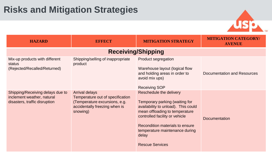

| <b>HAZARD</b>                                                                                   | <b>EFFECT</b>                                                                                                                           | <b>MITIGATION STRATEGY</b>                                                                                                                                                                                                                                                   | <b>MITIGATION CATEGORY/</b><br><b>AVENUE</b> |  |  |  |  |
|-------------------------------------------------------------------------------------------------|-----------------------------------------------------------------------------------------------------------------------------------------|------------------------------------------------------------------------------------------------------------------------------------------------------------------------------------------------------------------------------------------------------------------------------|----------------------------------------------|--|--|--|--|
| <b>Receiving/Shipping</b>                                                                       |                                                                                                                                         |                                                                                                                                                                                                                                                                              |                                              |  |  |  |  |
| Mix-up products with different<br>status<br>(Rejected/Recalled/Returned)                        | Shipping/selling of inappropriate<br>product                                                                                            | Product segregation<br>Warehouse layout (logical flow<br>and holding areas in order to<br>avoid mix ups)<br><b>Receiving SOP</b>                                                                                                                                             | Documentation and Resources                  |  |  |  |  |
| Shipping/Receiving delays due to<br>inclement weather, natural<br>disasters, traffic disruption | <b>Arrival delays</b><br>Temperature out of specification<br>(Temperature excursions, e.g.<br>accidentally freezing when is<br>snowing) | Reschedule the delivery<br>Temporary parking (waiting for<br>availability to unload). This could<br>mean offloading to temperature<br>controlled facility or vehicle<br>Recondition materials to ensure<br>temperature maintenance during<br>delay<br><b>Rescue Services</b> | <b>Documentation</b>                         |  |  |  |  |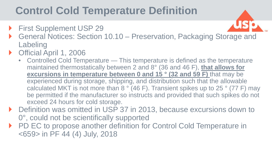## **Control Cold Temperature Definition**

- **First Supplement USP 29**
- General Notices: Section 10.10 Preservation, Packaging Storage and Labeling
- ▶ Official April 1, 2006
	- Controlled Cold Temperature This temperature is defined as the temperature maintained thermostatically between 2 and 8° (36 and 46 F), **that allows for excursions in temperature between 0 and 15 ° (32 and 59 F)** that may be experienced during storage, shipping, and distribution such that the allowable calculated MKT is not more than 8 ° (46 F). Transient spikes up to 25 ° (77 F) may be permitted if the manufacturer so instructs and provided that such spikes do not exceed 24 hours for cold storage.
- ▶ Definition was omitted in USP 37 in 2013, because excursions down to 0°, could not be scientifically supported
- ▶ PD EC to propose another definition for Control Cold Temperature in <659> in PF 44 (4) July, 2018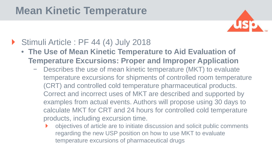### **Mean Kinetic Temperature**



#### Stimuli Article : PF 44 (4) July 2018

- **The Use of Mean Kinetic Temperature to Aid Evaluation of Temperature Excursions: Proper and Improper Application**
	- − Describes the use of mean kinetic temperature (MKT) to evaluate temperature excursions for shipments of controlled room temperature (CRT) and controlled cold temperature pharmaceutical products. Correct and incorrect uses of MKT are described and supported by examples from actual events. Authors will propose using 30 days to calculate MKT for CRT and 24 hours for controlled cold temperature products, including excursion time.
		- objectives of article are to initiate discussion and solicit public comments regarding the new USP position on how to use MKT to evaluate temperature excursions of pharmaceutical drugs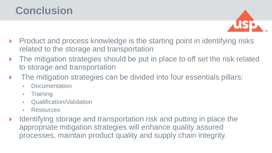### **Conclusion**



- ▶ Product and process knowledge is the starting point in identifying risks related to the storage and transportation
- The mitigation strategies should be put in place to off set the risk related to storage and transportation
- The mitigation strategies can be divided into four essentials pillars:
	- **Documentation**
	- Training
	- Qualification/Validation
	- Resources
- $\blacktriangleright$  Identifying storage and transportation risk and putting in place the appropriate mitigation strategies will enhance quality assured processes, maintain product quality and supply chain integrity.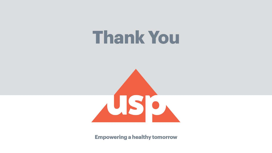## **Thank You**



**Empowering a healthy tomorrow**